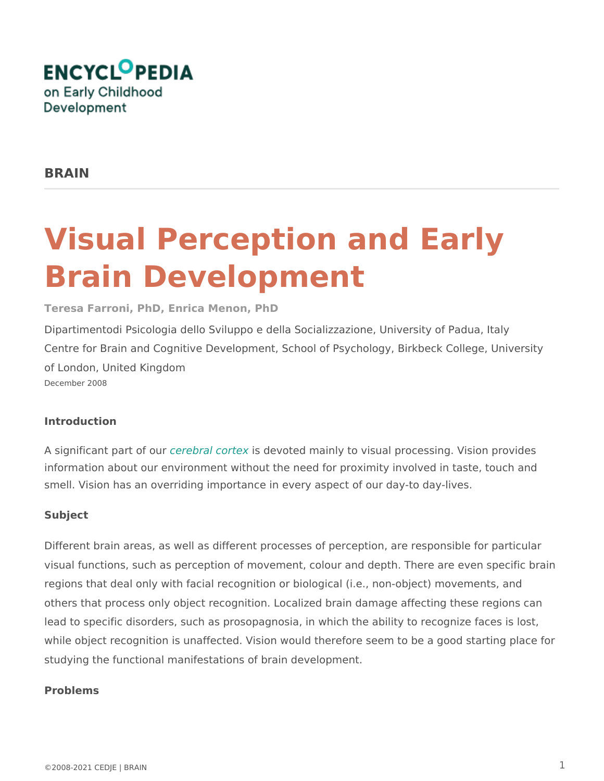# Visual Perception and Earl Brain Development

#### Teresa Farroni, PhD, Enrica Menon, PhD

Dipartimentodi Psicologia dello Sviluppo e della Socializzazione, University Centre for Brain and Cognitive Development, School of Psychology, Birkbec of London, United Kingdom December 2008

#### Introduction

A significant partcofedoural conservated mainly to visual processing. Vision information about our environment without the need for proximity involved i smell. Vision has an overriding importance in every aspect of our day-to da

### Subject

Different brain areas, as well as different processes of perception, are responsible for an areas visual functions, such as perception of movement, colour and depth. There regions that deal only with facial recognition or biological (i.e., non-object others that process only object recognition. Localized brain damage affecti lead to specific disorders, such as prosopagnosia, in which the ability to re while object recognition is unaffected. Vision would therefore seem to be a studying the functional manifestations of brain development.

#### Problems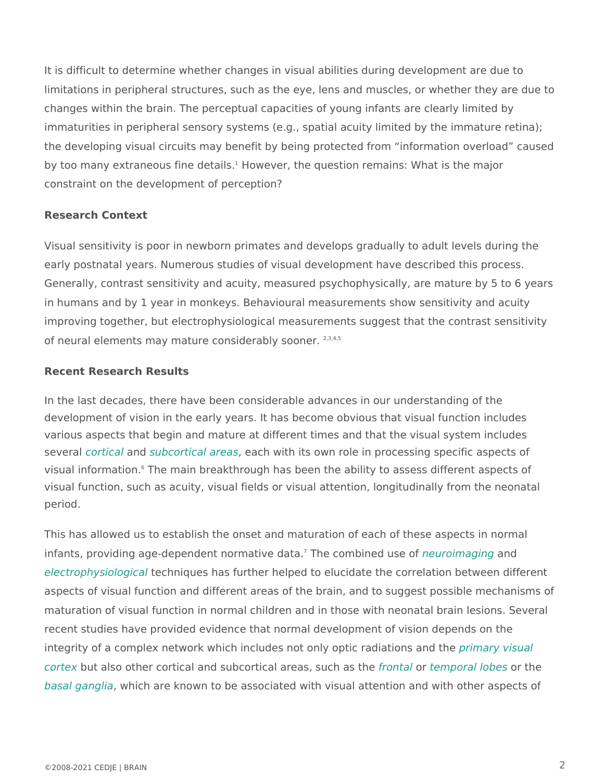It is difficult to determine whether changes in visual abilities during develo limitations in peripheral structures, such as the eye, lens and muscles, or changes within the brain. The perceptual capacities of young infants are cl immaturities in peripheral sensory systems (e.g., spatial acuity limited by t the developing visual circuits may benefit by being protected from informa by too many extraneous fine dowe early sthe question remains: What is the major constraint on the development of perception?

#### Research Context

Visual sensitivity is poor in newborn primates and develops gradually to ad early postnatal years. Numerous studies of visual development have describ Generally, contrast sensitivity and acuity, measured psychophysically, are in humans and by 1 year in monkeys. Behavioural measurements show sensi improving together, but electrophysiological measurements suggest that the of neural elements may mature consid<sup>2</sup>e<sup>3</sup>r<sup>4</sup>a<sup>5</sup>bly sooner.

#### Recent Research Results

In the last decades, there have been considerable advances in our understa development of vision in the early years. It has become obvious that visual various aspects that begin and mature at different times and that the visual severabrtical not ubcortical areash with its own role in processing specific as visual information. The main breakthrough has been the ability to assess differe visual function, such as acuity, visual fields or visual attention, longitudina period.

This has allowed us to establish the onset and maturation of each of these infants, providing age-dependent nõrTmhætiovoemdbainæd unseeuroofimagianngd [electrophysiol](http://www.child-encyclopedia.com/Pages/PDF/Glossary_Brain_electrophysiological.pdf)otgeicchaniques has further helped to elucidate the correlation be aspects of visual function and different areas of the brain, and to suggest maturation of visual function in normal children and in those with neonatal recent studies have provided evidence that normal development of vision de integrity of a complex network which includes not only opptionaray divaitsionals and [corte](http://www.child-encyclopedia.com/Pages/PDF/Glossary_Brain_PVC.pdf) but also other cortical and subcortical afreedent adstudent passation be sthe [basal gan](http://www.child-encyclopedia.com/Pages/PDF/Glossary_Brain_BG.pdf)g which are known to be associated with visual attention and with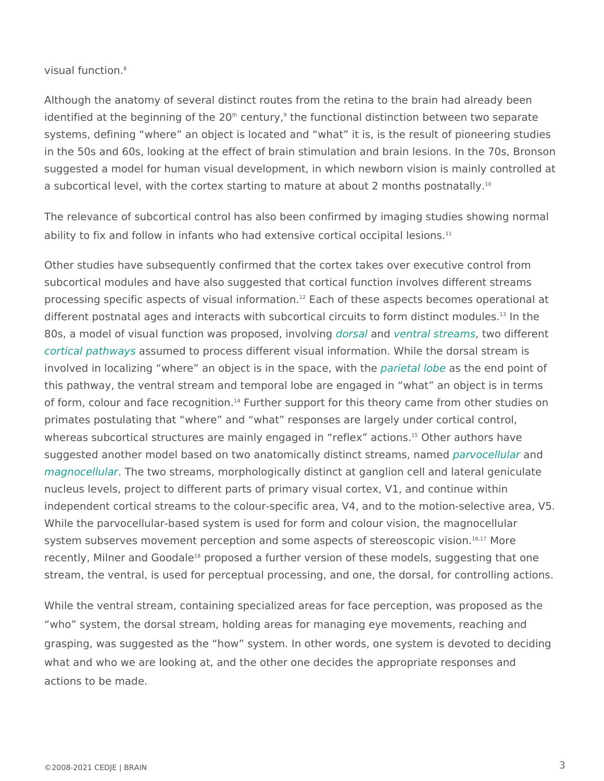visual func $\delta$ tion.

Although the anatomy of several distinct routes from the retina to the brain identified at the beginnin'g coefntthune yt2n0e functional distinction between two sep systems, defining where an object is located and what it is, is the result in the 50s and 60s, looking at the effect of brain stimulation and brain lesi suggested a model for human visual development, in which newborn vision i a subcortical level, with the cortex starting to mature at about 2 months po

The relevance of subcortical control has also been confirmed by imaging st ability to fix and follow in infants who had extensive cortical occipital lesions.

Other studies have subsequently confirmed that the cortex takes over executive control from subcortical modules and have also suggested that cortical function involves processing specific aspects of visu<sup>2</sup> a E ano homination. aspects becomes operational at the set of  $\alpha$ different postnatal ages and interacts with subcortical circuits to floem distinct 80s, a model of visual function was pro**plossead,** nicheolivain gstre, a thws odifferent [cortical path](http://www.child-encyclopedia.com/Pages/PDF/Glossary_Brain_CP.pdf)wasssumed to process different visual information. While the dor involved in localizing where an object is in phaerisphand eqabove it the the ned point of this pathway, the ventral stream and temporal lobe are engaged in what a of form, colour and face recognitions. 1 port for this theory came from other primates postulating that where and what responses are largely under co whereas subcortical structures are mainly engaged Ontheefacux hoarcstilonance suggested another model based on two anatomically displancy to sendenament, name [magnocell](http://www.child-encyclopedia.com/Pages/PDF/Glossary_Brain_MS.pdf)ulahe two streams, morphologically distinct at ganglion cell and I nucleus levels, project to different parts of primary visual cortex, V1, and independent cortical streams to the colour-specific area, V4, and to the mo While the parvocellular-based system is used for form and colour vision, the magnocellular-based system is used formagno system subserves movement perception and some aspects 'b'f' Metereeoscopic v recently, Milner and Goot opalsed a further version of these models, suggesting stream, the ventral, is used for perceptual processing, and one, the dorsal,

While the ventral stream, containing specialized areas for face perception, who system, the dorsal stream, holding areas for managing eye movement grasping, was suggested as the how system. In other words, one system is what and who we are looking at, and the other one decides the appropriate actions to be made.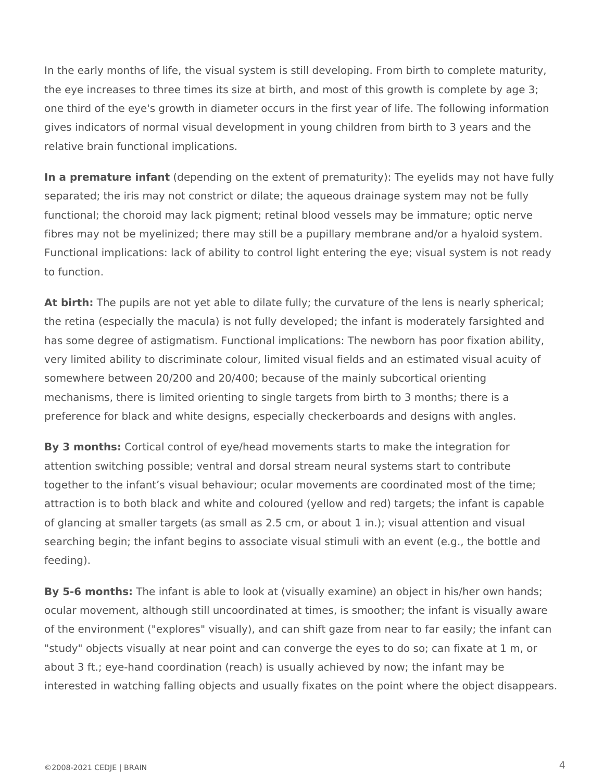In the early months of life, the visual system is still developing. From birth to complete maturity, the eye increases to three times its size at birth, and most of this growth is complete by age 3; one third of the eye's growth in diameter occurs in the first year of life. The following information gives indicators of normal visual development in young children from birth to 3 years and the relative brain functional implications.

**In a premature infant** (depending on the extent of prematurity): The eyelids may not have fully separated; the iris may not constrict or dilate; the aqueous drainage system may not be fully functional; the choroid may lack pigment; retinal blood vessels may be immature; optic nerve fibres may not be myelinized; there may still be a pupillary membrane and/or a hyaloid system. Functional implications: lack of ability to control light entering the eye; visual system is not ready to function.

**At birth:** The pupils are not yet able to dilate fully; the curvature of the lens is nearly spherical; the retina (especially the macula) is not fully developed; the infant is moderately farsighted and has some degree of astigmatism. Functional implications: The newborn has poor fixation ability, very limited ability to discriminate colour, limited visual fields and an estimated visual acuity of somewhere between 20/200 and 20/400; because of the mainly subcortical orienting mechanisms, there is limited orienting to single targets from birth to 3 months; there is a preference for black and white designs, especially checkerboards and designs with angles.

**By 3 months:** Cortical control of eye/head movements starts to make the integration for attention switching possible; ventral and dorsal stream neural systems start to contribute together to the infant's visual behaviour; ocular movements are coordinated most of the time; attraction is to both black and white and coloured (yellow and red) targets; the infant is capable of glancing at smaller targets (as small as 2.5 cm, or about 1 in.); visual attention and visual searching begin; the infant begins to associate visual stimuli with an event (e.g., the bottle and feeding).

**By 5-6 months:** The infant is able to look at (visually examine) an object in his/her own hands; ocular movement, although still uncoordinated at times, is smoother; the infant is visually aware of the environment ("explores" visually), and can shift gaze from near to far easily; the infant can "study" objects visually at near point and can converge the eyes to do so; can fixate at 1 m, or about 3 ft.; eye-hand coordination (reach) is usually achieved by now; the infant may be interested in watching falling objects and usually fixates on the point where the object disappears.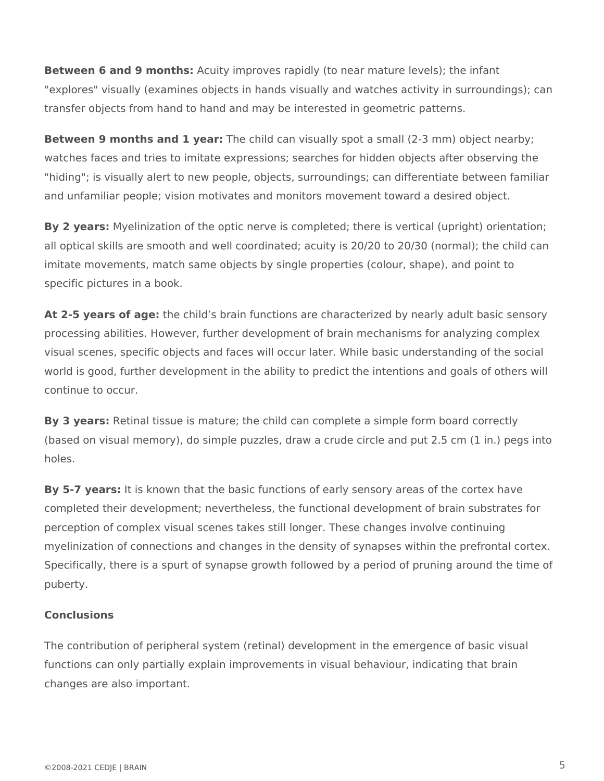**Between 6 and 9 months:** Acuity improves rapidly (to near mature levels); the infant "explores" visually (examines objects in hands visually and watches activity in surroundings); can transfer objects from hand to hand and may be interested in geometric patterns.

**Between 9 months and 1 year:** The child can visually spot a small (2-3 mm) object nearby; watches faces and tries to imitate expressions; searches for hidden objects after observing the "hiding"; is visually alert to new people, objects, surroundings; can differentiate between familiar and unfamiliar people; vision motivates and monitors movement toward a desired object.

**By 2 years:** Myelinization of the optic nerve is completed; there is vertical (upright) orientation; all optical skills are smooth and well coordinated; acuity is 20/20 to 20/30 (normal); the child can imitate movements, match same objects by single properties (colour, shape), and point to specific pictures in a book.

At 2-5 years of age: the child's brain functions are characterized by nearly adult basic sensory processing abilities. However, further development of brain mechanisms for analyzing complex visual scenes, specific objects and faces will occur later. While basic understanding of the social world is good, further development in the ability to predict the intentions and goals of others will continue to occur.

**By 3 years:** Retinal tissue is mature; the child can complete a simple form board correctly (based on visual memory), do simple puzzles, draw a crude circle and put 2.5 cm (1 in.) pegs into holes.

**By 5-7 years:** It is known that the basic functions of early sensory areas of the cortex have completed their development; nevertheless, the functional development of brain substrates for perception of complex visual scenes takes still longer. These changes involve continuing myelinization of connections and changes in the density of synapses within the prefrontal cortex. Specifically, there is a spurt of synapse growth followed by a period of pruning around the time of puberty.

## **Conclusions**

The contribution of peripheral system (retinal) development in the emergence of basic visual functions can only partially explain improvements in visual behaviour, indicating that brain changes are also important.